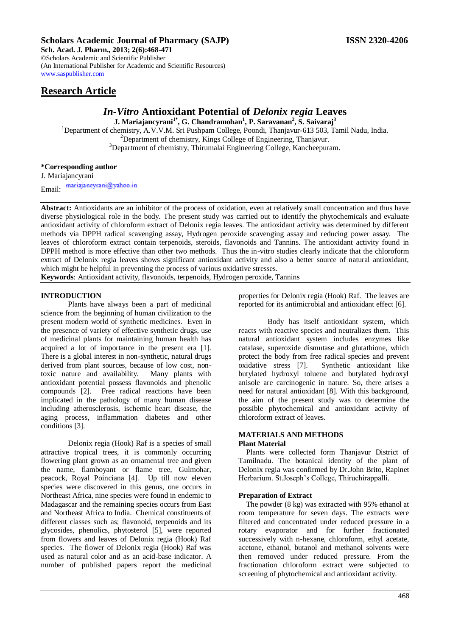# **Scholars Academic Journal of Pharmacy (SAJP) ISSN 2320-4206**

**Sch. Acad. J. Pharm., 2013; 2(6):468-471** ©Scholars Academic and Scientific Publisher (An International Publisher for Academic and Scientific Resources) [www.saspublisher.com](http://www.saspublisher.com/) 

# **Research Article**

# *In-Vitro* **Antioxidant Potential of** *Delonix regia* **Leaves**

**J. Mariajancyrani1\*, G. Chandramohan<sup>1</sup> , P. Saravanan<sup>2</sup> , S. Saivaraj<sup>3</sup>**

<sup>1</sup>Department of chemistry, A.V.V.M. Sri Pushpam College, Poondi, Thanjavur-613 503, Tamil Nadu, India. <sup>2</sup>Department of chemistry, Kings College of Engineering, Thanjavur. <sup>3</sup>Department of chemistry, Thirumalai Engineering College, Kancheepuram.

# **\*Corresponding author**

J. Mariajancyrani mariajaneyrani@yahoo.in Email:

**Abstract:** Antioxidants are an inhibitor of the process of oxidation, even at relatively small concentration and thus have diverse physiological role in the body. The present study was carried out to identify the phytochemicals and evaluate antioxidant activity of chloroform extract of Delonix regia leaves. The antioxidant activity was determined by different methods via DPPH radical scavenging assay, Hydrogen peroxide scavenging assay and reducing power assay. The leaves of chloroform extract contain terpenoids, steroids, flavonoids and Tannins. The antioxidant activity found in DPPH method is more effective than other two methods. Thus the in-vitro studies clearly indicate that the chloroform extract of Delonix regia leaves shows significant antioxidant activity and also a better source of natural antioxidant, which might be helpful in preventing the process of various oxidative stresses.

**Keywords**: Antioxidant activity, flavonoids, terpenoids, Hydrogen peroxide, Tannins

# **INTRODUCTION**

Plants have always been a part of medicinal science from the beginning of human civilization to the present modern world of synthetic medicines. Even in the presence of variety of effective synthetic drugs, use of medicinal plants for maintaining human health has acquired a lot of importance in the present era [1]. There is a global interest in non-synthetic, natural drugs derived from plant sources, because of low cost, nontoxic nature and availability. Many plants with antioxidant potential possess flavonoids and phenolic compounds [2]. Free radical reactions have been implicated in the pathology of many human disease including atherosclerosis, ischemic heart disease, the aging process, inflammation diabetes and other conditions [3].

Delonix regia (Hook) Raf is a species of small attractive tropical trees, it is commonly occurring flowering plant grown as an ornamental tree and given the name, flamboyant or flame tree, Gulmohar, peacock, Royal Poinciana [4]. Up till now eleven species were discovered in this genus, one occurs in Northeast Africa, nine species were found in endemic to Madagascar and the remaining species occurs from East and Northeast Africa to India. Chemical constituents of different classes such as; flavonoid, terpenoids and its glycosides, phenolics, phytosterol [5], were reported from flowers and leaves of Delonix regia (Hook) Raf species. The flower of Delonix regia (Hook) Raf was used as natural color and as an acid-base indicator. A number of published papers report the medicinal

properties for Delonix regia (Hook) Raf. The leaves are reported for its antimicrobial and antioxidant effect [6].

Body has itself antioxidant system, which reacts with reactive species and neutralizes them. This natural antioxidant system includes enzymes like catalase, superoxide dismutase and glutathione, which protect the body from free radical species and prevent oxidative stress [7]. Synthetic antioxidant like butylated hydroxyl toluene and butylated hydroxyl anisole are carcinogenic in nature. So, there arises a need for natural antioxidant [8]. With this background, the aim of the present study was to determine the possible phytochemical and antioxidant activity of chloroform extract of leaves.

# **MATERIALS AND METHODS Plant Material**

Plants were collected form Thanjavur District of Tamilnadu. The botanical identity of the plant of Delonix regia was confirmed by Dr.John Brito, Rapinet Herbarium. St.Joseph's College, Thiruchirappalli.

### **Preparation of Extract**

The powder (8 kg) was extracted with 95% ethanol at room temperature for seven days. The extracts were filtered and concentrated under reduced pressure in a rotary evaporator and for further fractionated successively with n-hexane, chloroform, ethyl acetate, acetone, ethanol, butanol and methanol solvents were then removed under reduced pressure. From the fractionation chloroform extract were subjected to screening of phytochemical and antioxidant activity.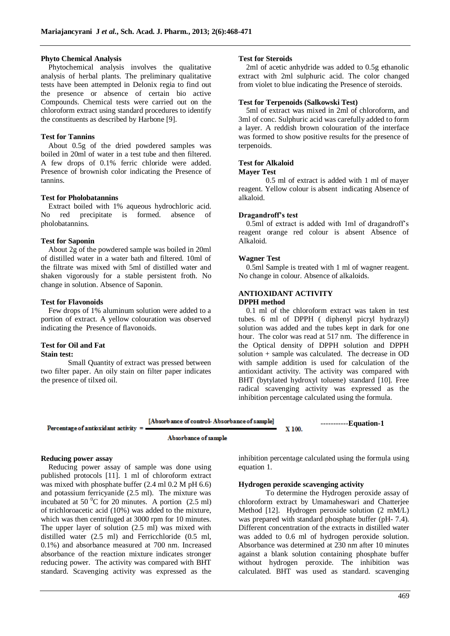#### **Phyto Chemical Analysis**

Phytochemical analysis involves the qualitative analysis of herbal plants. The preliminary qualitative tests have been attempted in Delonix regia to find out the presence or absence of certain bio active Compounds. Chemical tests were carried out on the chloroform extract using standard procedures to identify the constituents as described by Harbone [9].

# **Test for Tannins**

About 0.5g of the dried powdered samples was boiled in 20ml of water in a test tube and then filtered. A few drops of 0.1% ferric chloride were added. Presence of brownish color indicating the Presence of tannins.

## **Test for Pholobatannins**

Extract boiled with 1% aqueous hydrochloric acid. No red precipitate is formed. absence of pholobatannins.

### **Test for Saponin**

About 2g of the powdered sample was boiled in 20ml of distilled water in a water bath and filtered. 10ml of the filtrate was mixed with 5ml of distilled water and shaken vigorously for a stable persistent froth. No change in solution. Absence of Saponin.

# **Test for Flavonoids**

Few drops of 1% aluminum solution were added to a portion of extract. A yellow colouration was observed indicating the Presence of flavonoids.

### **Test for Oil and Fat Stain test:**

Small Quantity of extract was pressed between two filter paper. An oily stain on filter paper indicates the presence of tilxed oil.

## **Test for Steroids**

2ml of acetic anhydride was added to 0.5g ethanolic extract with 2ml sulphuric acid. The color changed from violet to blue indicating the Presence of steroids.

#### **Test for Terpenoids (Salkowski Test)**

5ml of extract was mixed in 2ml of chloroform, and 3ml of conc. Sulphuric acid was carefully added to form a layer. A reddish brown colouration of the interface was formed to show positive results for the presence of terpenoids.

### **Test for Alkaloid**

# **Mayer Test**

0.5 ml of extract is added with 1 ml of mayer reagent. Yellow colour is absent indicating Absence of alkaloid.

## **Dragandroff's test**

0.5ml of extract is added with 1ml of dragandroff's reagent orange red colour is absent Absence of Alkaloid.

#### **Wagner Test**

0.5ml Sample is treated with 1 ml of wagner reagent. No change in colour. Absence of alkaloids.

# **ANTIOXIDANT ACTIVITY**

## **DPPH method**

0.1 ml of the chloroform extract was taken in test tubes. 6 ml of DPPH ( diphenyl picryl hydrazyl) solution was added and the tubes kept in dark for one hour. The color was read at 517 nm. The difference in the Optical density of DPPH solution and DPPH solution + sample was calculated. The decrease in OD with sample addition is used for calculation of the antioxidant activity. The activity was compared with BHT (bytylated hydroxyl toluene) standard [10]. Free radical scavenging activity was expressed as the inhibition percentage calculated using the formula.

[Absorb ance of control-Absorbance of sample] -----------**Equation-1** Percentage of antioxidant activity X 100.

Absorbance of sample

# **Reducing power assay**

Reducing power assay of sample was done using published protocols [11]. 1 ml of chloroform extract was mixed with phosphate buffer (2.4 ml 0.2 M pH 6.6) and potassium ferricyanide (2.5 ml). The mixture was incubated at 50 $\mathrm{^{0}C}$  for 20 minutes. A portion (2.5 ml) of trichloroacetic acid (10%) was added to the mixture, which was then centrifuged at 3000 rpm for 10 minutes. The upper layer of solution  $(2.5 \text{ ml})$  was mixed with distilled water (2.5 ml) and Ferricchloride (0.5 ml, 0.1%) and absorbance measured at 700 nm. Increased absorbance of the reaction mixture indicates stronger reducing power. The activity was compared with BHT standard. Scavenging activity was expressed as the

inhibition percentage calculated using the formula using equation 1.

# **Hydrogen peroxide scavenging activity**

To determine the Hydrogen peroxide assay of chloroform extract by Umamaheswari and Chatterjee Method [12]. Hydrogen peroxide solution (2 mM/L) was prepared with standard phosphate buffer (pH- 7.4). Different concentration of the extracts in distilled water was added to 0.6 ml of hydrogen peroxide solution. Absorbance was determined at 230 nm after 10 minutes against a blank solution containing phosphate buffer without hydrogen peroxide. The inhibition was calculated. BHT was used as standard. scavenging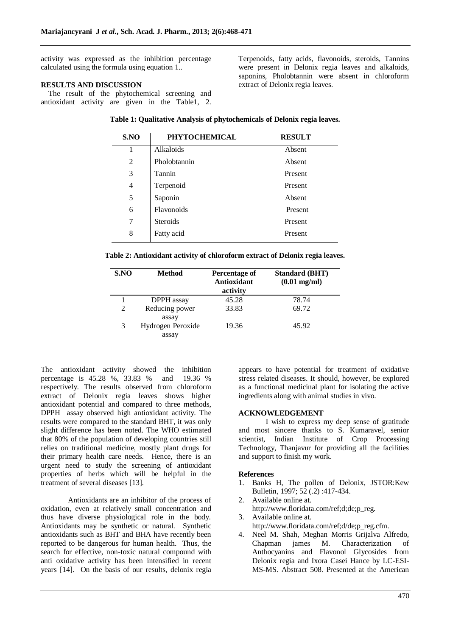activity was expressed as the inhibition percentage calculated using the formula using equation 1..

# **RESULTS AND DISCUSSION**

The result of the phytochemical screening and antioxidant activity are given in the Table1, 2. Terpenoids, fatty acids, flavonoids, steroids, Tannins were present in Delonix regia leaves and alkaloids, saponins, Pholobtannin were absent in chloroform extract of Delonix regia leaves.

|  |  |  | Table 1: Qualitative Analysis of phytochemicals of Delonix regia leaves. |
|--|--|--|--------------------------------------------------------------------------|
|--|--|--|--------------------------------------------------------------------------|

| S.NO           | <b>PHYTOCHEMICAL</b> | <b>RESULT</b> |
|----------------|----------------------|---------------|
| 1              | Alkaloids            | Absent        |
| 2              | Pholobtannin         | Absent        |
| 3              | Tannin               | Present       |
| $\overline{4}$ | Terpenoid            | Present       |
| 5              | Saponin              | Absent        |
| 6              | Flavonoids           | Present       |
| 7              | <b>Steroids</b>      | Present       |
| 8              | Fatty acid           | Present       |

**Table 2: Antioxidant activity of chloroform extract of Delonix regia leaves.**

| S.NO | <b>Method</b>              | Percentage of<br>Antioxidant<br>activity | <b>Standard (BHT)</b><br>$(0.01 \text{ mg/ml})$ |
|------|----------------------------|------------------------------------------|-------------------------------------------------|
|      | DPPH assay                 | 45.28                                    | 78.74                                           |
| 2    | Reducing power<br>assay    | 33.83                                    | 69.72                                           |
| 3    | Hydrogen Peroxide<br>assay | 19.36                                    | 45.92                                           |

The antioxidant activity showed the inhibition percentage is 45.28 %, 33.83 % and 19.36 % respectively. The results observed from chloroform extract of Delonix regia leaves shows higher antioxidant potential and compared to three methods, DPPH assay observed high antioxidant activity. The results were compared to the standard BHT, it was only slight difference has been noted. The WHO estimated that 80% of the population of developing countries still relies on traditional medicine, mostly plant drugs for their primary health care needs. Hence, there is an urgent need to study the screening of antioxidant properties of herbs which will be helpful in the treatment of several diseases [13].

Antioxidants are an inhibitor of the process of oxidation, even at relatively small concentration and thus have diverse physiological role in the body. Antioxidants may be synthetic or natural. Synthetic antioxidants such as BHT and BHA have recently been reported to be dangerous for human health. Thus, the search for effective, non-toxic natural compound with anti oxidative activity has been intensified in recent years [14]. On the basis of our results, delonix regia appears to have potential for treatment of oxidative stress related diseases. It should, however, be explored as a functional medicinal plant for isolating the active ingredients along with animal studies in vivo.

# **ACKNOWLEDGEMENT**

I wish to express my deep sense of gratitude and most sincere thanks to S. Kumaravel, senior scientist, Indian Institute of Crop Processing Technology, Thanjavur for providing all the facilities and support to finish my work.

### **References**

- 1. Banks H, The pollen of Delonix, JSTOR:Kew Bulletin, 1997; 52 (.2) :417-434.
- 2. Available online at. http://www.floridata.com/ref;d;de;p\_reg.
- 3. Available online at. http://www.floridata.com/ref;d/de;p\_reg.cfm.
- 4. Neel M. Shah, Meghan Morris Grijalva Alfredo, Chapman james M. Characterization of Anthocyanins and Flavonol Glycosides from Delonix regia and Ixora Casei Hance by LC-ESI-MS-MS. Abstract 508. Presented at the American